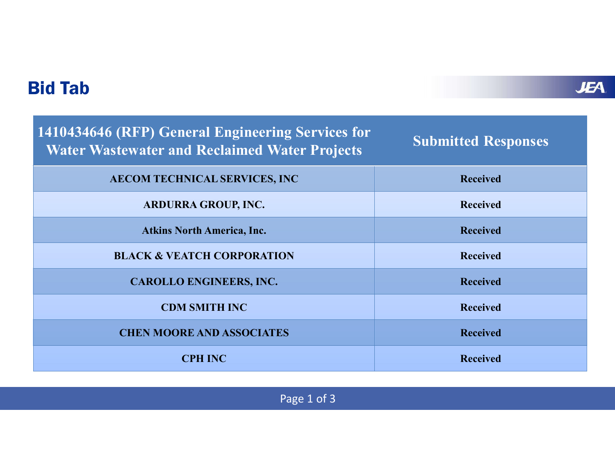| <b>Bid Tab</b>                                                                                            |                            | <b>JEA</b> |
|-----------------------------------------------------------------------------------------------------------|----------------------------|------------|
| 1410434646 (RFP) General Engineering Services for<br><b>Water Wastewater and Reclaimed Water Projects</b> | <b>Submitted Responses</b> |            |
| AECOM TECHNICAL SERVICES, INC                                                                             | <b>Received</b>            |            |
| ARDURRA GROUP, INC.                                                                                       | <b>Received</b>            |            |
| <b>Atkins North America, Inc.</b>                                                                         | <b>Received</b>            |            |
| <b>BLACK &amp; VEATCH CORPORATION</b>                                                                     | <b>Received</b>            |            |
| <b>CAROLLO ENGINEERS, INC.</b>                                                                            | <b>Received</b>            |            |
| <b>CDM SMITH INC</b>                                                                                      | <b>Received</b>            |            |
| <b>CHEN MOORE AND ASSOCIATES</b>                                                                          | <b>Received</b>            |            |
| <b>CPH INC</b>                                                                                            | <b>Received</b>            |            |
| Page 1 of 3                                                                                               |                            |            |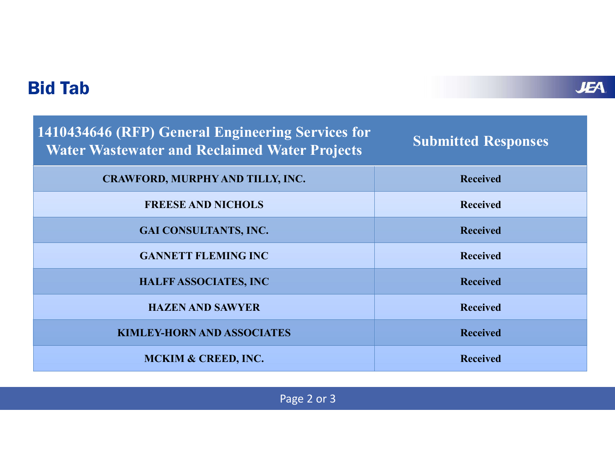| <b>Bid Tab</b>                                                                                            | <b>JEA</b>                 |
|-----------------------------------------------------------------------------------------------------------|----------------------------|
| 1410434646 (RFP) General Engineering Services for<br><b>Water Wastewater and Reclaimed Water Projects</b> | <b>Submitted Responses</b> |
| CRAWFORD, MURPHY AND TILLY, INC.                                                                          | <b>Received</b>            |
| <b>FREESE AND NICHOLS</b>                                                                                 | <b>Received</b>            |
| GAI CONSULTANTS, INC.                                                                                     | <b>Received</b>            |
| <b>GANNETT FLEMING INC</b>                                                                                | <b>Received</b>            |
| <b>HALFF ASSOCIATES, INC</b>                                                                              | <b>Received</b>            |
| <b>HAZEN AND SAWYER</b>                                                                                   | <b>Received</b>            |
| <b>KIMLEY-HORN AND ASSOCIATES</b>                                                                         | <b>Received</b>            |
| MCKIM & CREED, INC.                                                                                       | <b>Received</b>            |
| Page 2 or 3                                                                                               |                            |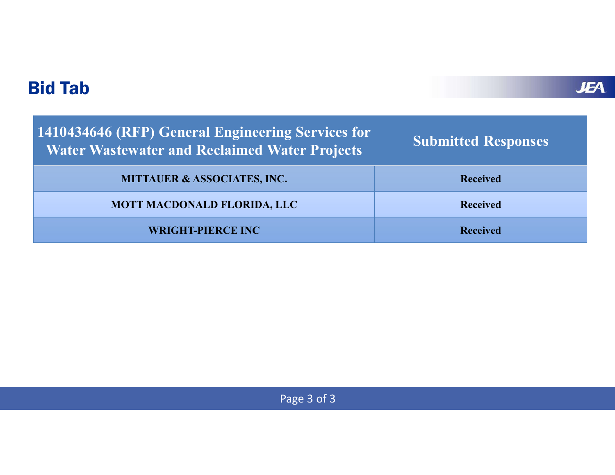| <b>Bid Tab</b>                                                                                            |                            |
|-----------------------------------------------------------------------------------------------------------|----------------------------|
| 1410434646 (RFP) General Engineering Services for<br><b>Water Wastewater and Reclaimed Water Projects</b> | <b>Submitted Responses</b> |
| <b>MITTAUER &amp; ASSOCIATES, INC.</b>                                                                    | <b>Received</b>            |
| MOTT MACDONALD FLORIDA, LLC                                                                               | <b>Received</b>            |
| <b>WRIGHT-PIERCE INC</b>                                                                                  | <b>Received</b>            |

Page 3 of 3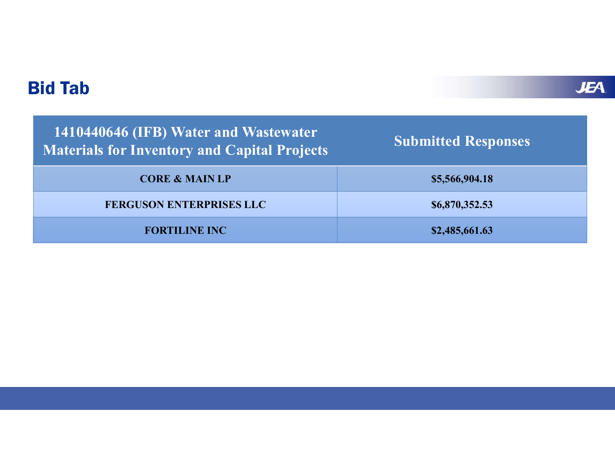|                            | <b>JEA</b> |
|----------------------------|------------|
| <b>Submitted Responses</b> |            |
| \$5,566,904.18             |            |
| \$6,870,352.53             |            |
| \$2,485,661.63             |            |
|                            |            |